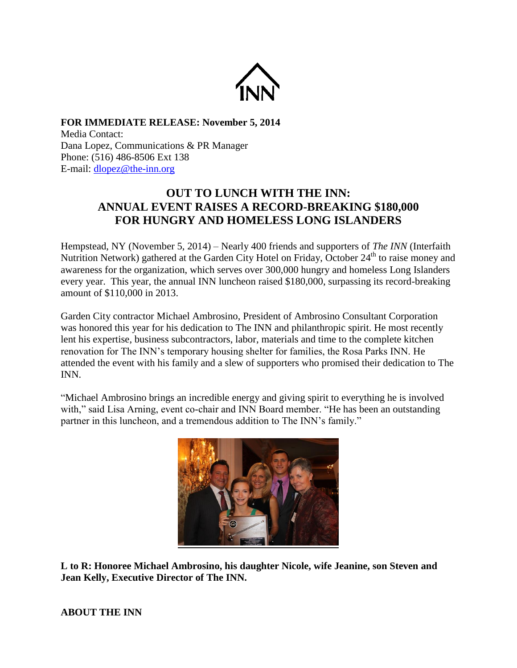

**FOR IMMEDIATE RELEASE: November 5, 2014** Media Contact: Dana Lopez, Communications & PR Manager Phone: (516) 486-8506 Ext 138 E-mail: [dlopez@the-inn.org](mailto:dlopez@the-inn.org)

## **OUT TO LUNCH WITH THE INN: ANNUAL EVENT RAISES A RECORD-BREAKING \$180,000 FOR HUNGRY AND HOMELESS LONG ISLANDERS**

Hempstead, NY (November 5, 2014) – Nearly 400 friends and supporters of *The INN* (Interfaith Nutrition Network) gathered at the Garden City Hotel on Friday, October 24<sup>th</sup> to raise money and awareness for the organization, which serves over 300,000 hungry and homeless Long Islanders every year. This year, the annual INN luncheon raised \$180,000, surpassing its record-breaking amount of \$110,000 in 2013.

Garden City contractor Michael Ambrosino, President of Ambrosino Consultant Corporation was honored this year for his dedication to The INN and philanthropic spirit. He most recently lent his expertise, business subcontractors, labor, materials and time to the complete kitchen renovation for The INN's temporary housing shelter for families, the Rosa Parks INN. He attended the event with his family and a slew of supporters who promised their dedication to The INN.

"Michael Ambrosino brings an incredible energy and giving spirit to everything he is involved with," said Lisa Arning, event co-chair and INN Board member. "He has been an outstanding partner in this luncheon, and a tremendous addition to The INN's family."



**L to R: Honoree Michael Ambrosino, his daughter Nicole, wife Jeanine, son Steven and Jean Kelly, Executive Director of The INN.**

## **ABOUT THE INN**